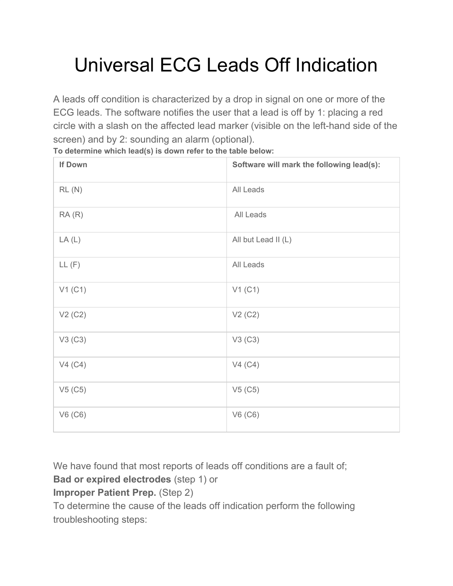# Universal ECG Leads Off Indication

A leads off condition is characterized by a drop in signal on one or more of the ECG leads. The software notifies the user that a lead is off by 1: placing a red circle with a slash on the affected lead marker (visible on the left-hand side of the screen) and by 2: sounding an alarm (optional).

| If Down                          | Software will mark the following lead(s): |
|----------------------------------|-------------------------------------------|
| RL(N)                            | All Leads                                 |
| RA(R)                            | All Leads                                 |
| LA(L)                            | All but Lead II (L)                       |
| LL(F)                            | All Leads                                 |
| V1(C1)                           | V1(C1)                                    |
| V <sub>2</sub> (C <sub>2</sub> ) | V2 (C2)                                   |
| V3 (C3)                          | V3 (C3)                                   |
| V4(C4)                           | V4(C4)                                    |
| V5(C5)                           | V5(C5)                                    |
| V6 (C6)                          | V6 (C6)                                   |

**To determine which lead(s) is down refer to the table below:**

We have found that most reports of leads off conditions are a fault of;

**Bad or expired electrodes** (step 1) or

**Improper Patient Prep.** (Step 2)

To determine the cause of the leads off indication perform the following troubleshooting steps: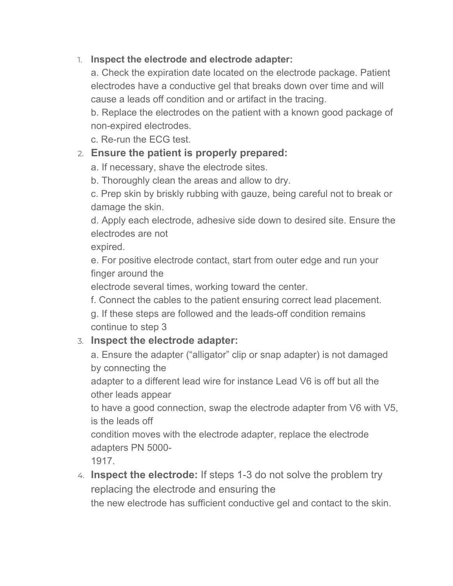#### 1. **Inspect the electrode and electrode adapter:**

a. Check the expiration date located on the electrode package. Patient electrodes have a conductive gel that breaks down over time and will cause a leads off condition and or artifact in the tracing.

b. Replace the electrodes on the patient with a known good package of non-expired electrodes.

c. Re-run the ECG test.

#### 2. **Ensure the patient is properly prepared:**

a. If necessary, shave the electrode sites.

b. Thoroughly clean the areas and allow to dry.

c. Prep skin by briskly rubbing with gauze, being careful not to break or damage the skin.

d. Apply each electrode, adhesive side down to desired site. Ensure the electrodes are not

expired.

e. For positive electrode contact, start from outer edge and run your finger around the

electrode several times, working toward the center.

f. Connect the cables to the patient ensuring correct lead placement.

g. If these steps are followed and the leads-off condition remains continue to step 3

#### 3. **Inspect the electrode adapter:**

a. Ensure the adapter ("alligator" clip or snap adapter) is not damaged by connecting the

adapter to a different lead wire for instance Lead V6 is off but all the other leads appear

to have a good connection, swap the electrode adapter from V6 with V5, is the leads off

condition moves with the electrode adapter, replace the electrode adapters PN 5000-

1917.

4. **Inspect the electrode:** If steps 1-3 do not solve the problem try replacing the electrode and ensuring the

the new electrode has sufficient conductive gel and contact to the skin.